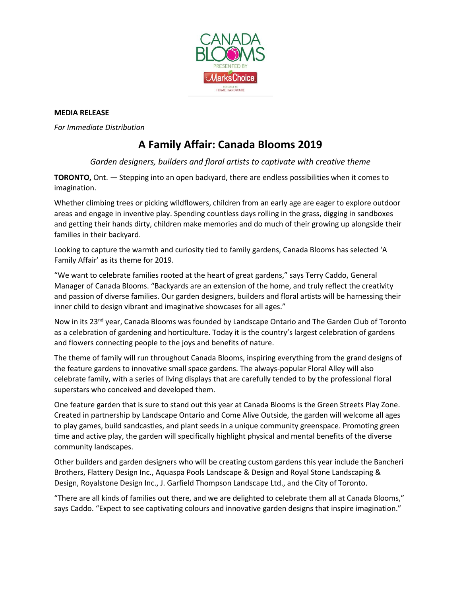

## **MEDIA RELEASE**

*For Immediate Distribution* 

## **A Family Affair: Canada Blooms 2019**

*Garden designers, builders and floral artists to captivate with creative theme*

**TORONTO,** Ont. — Stepping into an open backyard, there are endless possibilities when it comes to imagination.

Whether climbing trees or picking wildflowers, children from an early age are eager to explore outdoor areas and engage in inventive play. Spending countless days rolling in the grass, digging in sandboxes and getting their hands dirty, children make memories and do much of their growing up alongside their families in their backyard.

Looking to capture the warmth and curiosity tied to family gardens, Canada Blooms has selected 'A Family Affair' as its theme for 2019.

"We want to celebrate families rooted at the heart of great gardens," says Terry Caddo, General Manager of Canada Blooms. "Backyards are an extension of the home, and truly reflect the creativity and passion of diverse families. Our garden designers, builders and floral artists will be harnessing their inner child to design vibrant and imaginative showcases for all ages."

Now in its 23<sup>nd</sup> year, Canada Blooms was founded by Landscape Ontario and The Garden Club of Toronto as a celebration of gardening and horticulture. Today it is the country's largest celebration of gardens and flowers connecting people to the joys and benefits of nature.

The theme of family will run throughout Canada Blooms, inspiring everything from the grand designs of the feature gardens to innovative small space gardens. The always-popular Floral Alley will also celebrate family, with a series of living displays that are carefully tended to by the professional floral superstars who conceived and developed them.

One feature garden that is sure to stand out this year at Canada Blooms is the Green Streets Play Zone. Created in partnership by Landscape Ontario and Come Alive Outside, the garden will welcome all ages to play games, build sandcastles, and plant seeds in a unique community greenspace. Promoting green time and active play, the garden will specifically highlight physical and mental benefits of the diverse community landscapes.

Other builders and garden designers who will be creating custom gardens this year include the Bancheri Brothers, Flattery Design Inc., Aquaspa Pools Landscape & Design and Royal Stone Landscaping & Design, Royalstone Design Inc., J. Garfield Thompson Landscape Ltd., and the City of Toronto.

"There are all kinds of families out there, and we are delighted to celebrate them all at Canada Blooms," says Caddo. "Expect to see captivating colours and innovative garden designs that inspire imagination."